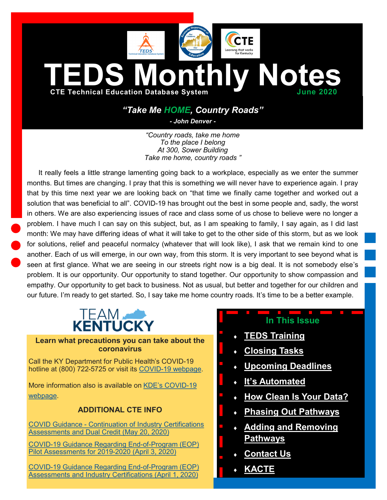

# *"Take Me HOME, Country Roads"*

*- John Denver -*

*"Country roads, take me home To the place I belong At 300, Sower Building Take me home, country roads "*

It really feels a little strange lamenting going back to a workplace, especially as we enter the summer months. But times are changing. I pray that this is something we will never have to experience again. I pray that by this time next year we are looking back on "that time we finally came together and worked out a solution that was beneficial to all". COVID-19 has brought out the best in some people and, sadly, the worst in others. We are also experiencing issues of race and class some of us chose to believe were no longer a problem. I have much I can say on this subject, but, as I am speaking to family, I say again, as I did last month: We may have differing ideas of what it will take to get to the other side of this storm, but as we look for solutions, relief and peaceful normalcy (whatever that will look like), I ask that we remain kind to one another. Each of us will emerge, in our own way, from this storm. It is very important to see beyond what is seen at first glance. What we are seeing in our streets right now is a big deal. It is not somebody else's problem. It is our opportunity. Our opportunity to stand together. Our opportunity to show compassion and empathy. Our opportunity to get back to business. Not as usual, but better and together for our children and our future. I'm ready to get started. So, I say take me home country roads. It's time to be a better example.



#### **Learn what precautions you can take about the coronavirus**

Call the KY Department for Public Health's COVID-19 hotline at (800) 722-5725 or visit its COVID-[19 webpage.](https://chfs.ky.gov/agencies/dph/pages/covid19.aspx)

More information also is available on KDE'[s COVID](https://education.ky.gov/comm/Pages/COVID-19-Updates.aspx)-19 [webpage.](https://education.ky.gov/comm/Pages/COVID-19-Updates.aspx)

## **ADDITIONAL CTE INFO**

COVID Guidance - [Continuation of Industry Certifications](https://education.ky.gov/CTE/endofprog/Documents/20-05-20_Continuation_of_Industry_Certifications_Assessments_and_Dual_Credit.pdf)  [Assessments and Dual Credit \(May 20, 2020\)](https://education.ky.gov/CTE/endofprog/Documents/20-05-20_Continuation_of_Industry_Certifications_Assessments_and_Dual_Credit.pdf)

COVID-[19 Guidance Regarding End](https://education.ky.gov/CTE/endofprog/Documents/20-04-03_CTE_EOP_Pilot_Assessments_Update.pdf)-of-Program (EOP) [Pilot Assessments for 2019](https://education.ky.gov/CTE/endofprog/Documents/20-04-03_CTE_EOP_Pilot_Assessments_Update.pdf)-2020 (April 3, 2020)

COVID-[19 Guidance Regarding End](https://education.ky.gov/CTE/endofprog/Documents/20-04-01_CTE_Assessment_Industry_Certification_Communication.pdf)-of-Program (EOP) [Assessments and Industry Certifications \(April 1, 2020\)](https://education.ky.gov/CTE/endofprog/Documents/20-04-01_CTE_Assessment_Industry_Certification_Communication.pdf)

# **In This Issue**

- **[TEDS Training](#page-1-0)**
- **[Closing Tasks](#page-1-0)**
- **[Upcoming Deadlines](#page-1-0)**
- **It'[s Automated](#page-2-0)**
- **[How Clean Is Your Data?](#page-2-0)**
- **[Phasing Out Pathways](#page-3-0)**
- **[Adding and Removing](#page-3-0)  [Pathways](#page-3-0)**
- **[Contact Us](#page-3-0)**
- **[KACTE](#page-4-0)**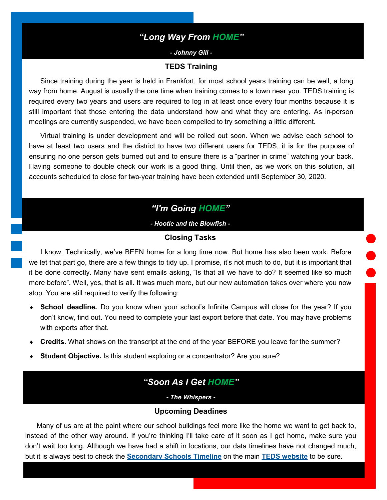## *"Long Way From HOME"*

*- Johnny Gill -*

#### **TEDS Training**

<span id="page-1-0"></span>Since training during the year is held in Frankfort, for most school years training can be well, a long way from home. August is usually the one time when training comes to a town near you. TEDS training is required every two years and users are required to log in at least once every four months because it is still important that those entering the data understand how and what they are entering. As in-person meetings are currently suspended, we have been compelled to try something a little different.

Virtual training is under development and will be rolled out soon. When we advise each school to have at least two users and the district to have two different users for TEDS, it is for the purpose of ensuring no one person gets burned out and to ensure there is a "partner in crime" watching your back. Having someone to double check our work is a good thing. Until then, as we work on this solution, all accounts scheduled to close for two-year training have been extended until September 30, 2020.

# *"I'm Going HOME"*

*- Hootie and the Blowfish -*

#### **Closing Tasks**

I know. Technically, we've BEEN home for a long time now. But home has also been work. Before we let that part go, there are a few things to tidy up. I promise, it's not much to do, but it is important that it be done correctly. Many have sent emails asking, "Is that all we have to do? It seemed like so much more before". Well, yes, that is all. It was much more, but our new automation takes over where you now stop. You are still required to verify the following:

- **School deadline.** Do you know when your school's Infinite Campus will close for the year? If you don't know, find out. You need to complete your last export before that date. You may have problems with exports after that.
- **Credits.** What shows on the transcript at the end of the year BEFORE you leave for the summer?
- **Student Objective.** Is this student exploring or a concentrator? Are you sure?

## *"Soon As I Get HOME"*

*- The Whispers -*

#### **Upcoming Deadines**

Many of us are at the point where our school buildings feel more like the home we want to get back to, instead of the other way around. If you're thinking I'll take care of it soon as I get home, make sure you don't wait too long. Although we have had a shift in locations, our data timelines have not changed much, but it is always best to check the **[Secondary Schools Timeline](https://education.ky.gov/CTE/teds/Documents/TEDS_Time.pdf)** on the main **[TEDS website](https://education.ky.gov/CTE/teds/Pages/default.aspx)** to be sure.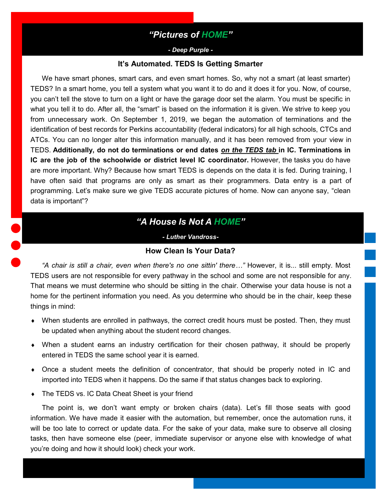## *"Pictures of HOME"*

#### *- Deep Purple -*

#### **It's Automated. TEDS Is Getting Smarter**

<span id="page-2-0"></span>We have smart phones, smart cars, and even smart homes. So, why not a smart (at least smarter) TEDS? In a smart home, you tell a system what you want it to do and it does it for you. Now, of course, you can't tell the stove to turn on a light or have the garage door set the alarm. You must be specific in what you tell it to do. After all, the "smart" is based on the information it is given. We strive to keep you from unnecessary work. On September 1, 2019, we began the automation of terminations and the identification of best records for Perkins accountability (federal indicators) for all high schools, CTCs and ATCs. You can no longer alter this information manually, and it has been removed from your view in TEDS. **Additionally, do not do terminations or end dates** *on the TEDS tab* **in IC. Terminations in IC are the job of the schoolwide or district level IC coordinator.** However, the tasks you do have are more important. Why? Because how smart TEDS is depends on the data it is fed. During training, I have often said that programs are only as smart as their programmers. Data entry is a part of programming. Let's make sure we give TEDS accurate pictures of home. Now can anyone say, "clean data is important"?

# *"A House Is Not A HOME"*

*- Luther Vandross-*

#### **How Clean Is Your Data?**

*"A chair is still a chair, even when there's no one sittin' there…"* However, it is... still empty. Most TEDS users are not responsible for every pathway in the school and some are not responsible for any. That means we must determine who should be sitting in the chair. Otherwise your data house is not a home for the pertinent information you need. As you determine who should be in the chair, keep these things in mind:

- When students are enrolled in pathways, the correct credit hours must be posted. Then, they must be updated when anything about the student record changes.
- When a student earns an industry certification for their chosen pathway, it should be properly entered in TEDS the same school year it is earned.
- Once a student meets the definition of concentrator, that should be properly noted in IC and imported into TEDS when it happens. Do the same if that status changes back to exploring.
- ◆ The TEDS vs. IC Data Cheat Sheet is your friend

The point is, we don't want empty or broken chairs (data). Let's fill those seats with good information. We have made it easier with the automation, but remember, once the automation runs, it will be too late to correct or update data. For the sake of your data, make sure to observe all closing tasks, then have someone else (peer, immediate supervisor or anyone else with knowledge of what you're doing and how it should look) check your work.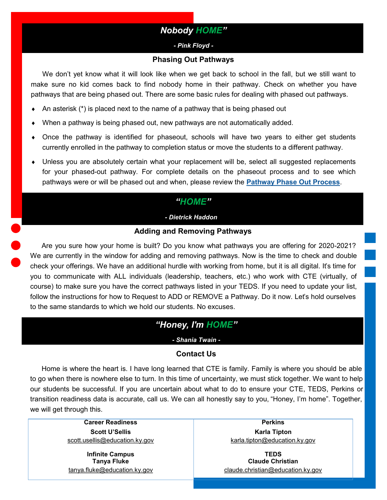## *Nobody HOME"*

#### *- Pink Floyd -*

#### **Phasing Out Pathways**

<span id="page-3-0"></span>We don't yet know what it will look like when we get back to school in the fall, but we still want to make sure no kid comes back to find nobody home in their pathway. Check on whether you have pathways that are being phased out. There are some basic rules for dealing with phased out pathways.

- An asterisk (\*) is placed next to the name of a pathway that is being phased out
- When a pathway is being phased out, new pathways are not automatically added.
- Once the pathway is identified for phaseout, schools will have two years to either get students currently enrolled in the pathway to completion status or move the students to a different pathway.
- Unless you are absolutely certain what your replacement will be, select all suggested replacements for your phased-out pathway. For complete details on the phaseout process and to see which pathways were or will be phased out and when, please review the **[Pathway Phase Out Process](https://education.ky.gov/CTE/ctepa/Documents/Pathway_Phaseout_Guidance.pdf)**.

## *"HOME"*

*- Dietrick Haddon -*

#### **Adding and Removing Pathways**

Are you sure how your home is built? Do you know what pathways you are offering for 2020-2021? We are currently in the window for adding and removing pathways. Now is the time to check and double check your offerings. We have an additional hurdle with working from home, but it is all digital. It's time for you to communicate with ALL individuals (leadership, teachers, etc.) who work with CTE (virtually, of course) to make sure you have the correct pathways listed in your TEDS. If you need to update your list, follow the instructions for how to Request to ADD or REMOVE a Pathway. Do it now. Let's hold ourselves to the same standards to which we hold our students. No excuses.

# *"Honey, I'm HOME"*

#### *- Shania Twain -*

### **Contact Us**

Home is where the heart is. I have long learned that CTE is family. Family is where you should be able to go when there is nowhere else to turn. In this time of uncertainty, we must stick together. We want to help our students be successful. If you are uncertain about what to do to ensure your CTE, TEDS, Perkins or transition readiness data is accurate, call us. We can all honestly say to you, "Honey, I'm home". Together, we will get through this.

> **Career Readiness Perkins Scott U'Sellis Karla Tipton** [scott.usellis@education.ky.gov](mailto:kiley.whitaker@education.ky.gov) [karla.tipton@education.ky.gov](mailto:karla.tipton@education.ky.gov)

**Infinite Campus TEDS**

**Tanya Fluke Claude Christian** [tanya.fluke@education.ky.gov](mailto:tanya.fluke@education.ky.gov) [claude.christian@education.ky.gov](mailto:claude.christian@education.ky.gov)